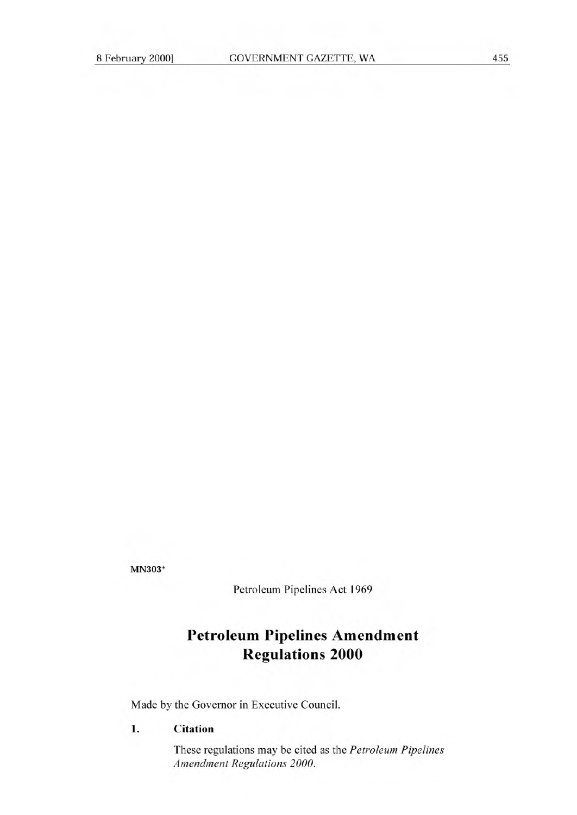MN303\*

Petroleum Pipelines Act 1969

## **Petroleum Pipelines Amendment Regulations 2000**

Made by the Governor in Executive Council.

## **1. Citation**

These regulations may be cited as the *Petroleum Pipelines Amendment Regulations 2000.*